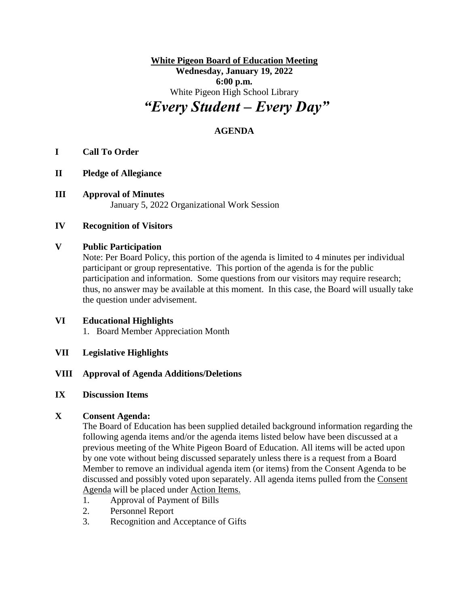**White Pigeon Board of Education Meeting Wednesday, January 19, 2022 6:00 p.m.** White Pigeon High School Library *"Every Student – Every Day"*

# **AGENDA**

# **I Call To Order**

- **II Pledge of Allegiance**
- **III Approval of Minutes** January 5, 2022 Organizational Work Session

## **IV Recognition of Visitors**

## **V Public Participation**

Note: Per Board Policy, this portion of the agenda is limited to 4 minutes per individual participant or group representative. This portion of the agenda is for the public participation and information. Some questions from our visitors may require research; thus, no answer may be available at this moment. In this case, the Board will usually take the question under advisement.

# **VI Educational Highlights**

1. Board Member Appreciation Month

## **VII Legislative Highlights**

# **VIII Approval of Agenda Additions/Deletions**

## **IX Discussion Items**

# **X Consent Agenda:**

The Board of Education has been supplied detailed background information regarding the following agenda items and/or the agenda items listed below have been discussed at a previous meeting of the White Pigeon Board of Education. All items will be acted upon by one vote without being discussed separately unless there is a request from a Board Member to remove an individual agenda item (or items) from the Consent Agenda to be discussed and possibly voted upon separately. All agenda items pulled from the Consent Agenda will be placed under Action Items.

- 1. Approval of Payment of Bills
- 2. Personnel Report
- 3. Recognition and Acceptance of Gifts